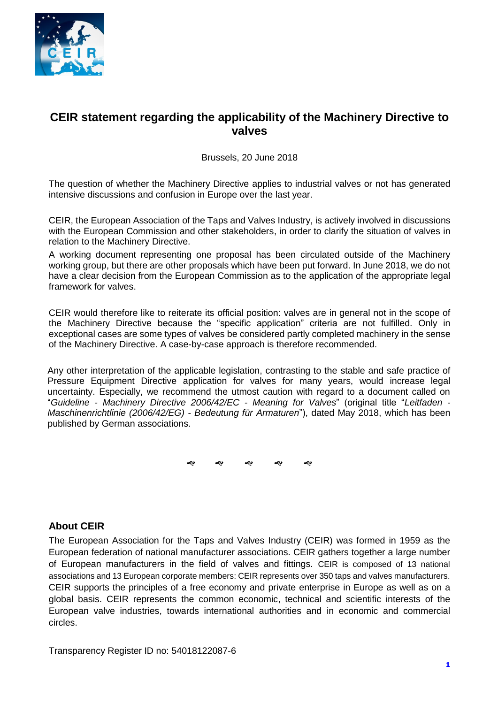

# **CEIR statement regarding the applicability of the Machinery Directive to valves**

#### Brussels, 20 June 2018

The question of whether the Machinery Directive applies to industrial valves or not has generated intensive discussions and confusion in Europe over the last year.

CEIR, the European Association of the Taps and Valves Industry, is actively involved in discussions with the European Commission and other stakeholders, in order to clarify the situation of valves in relation to the Machinery Directive.

A working document representing one proposal has been circulated outside of the Machinery working group, but there are other proposals which have been put forward. In June 2018, we do not have a clear decision from the European Commission as to the application of the appropriate legal framework for valves.

CEIR would therefore like to reiterate its official position: valves are in general not in the scope of the Machinery Directive because the "specific application" criteria are not fulfilled. Only in exceptional cases are some types of valves be considered partly completed machinery in the sense of the Machinery Directive. A case-by-case approach is therefore recommended.

Any other interpretation of the applicable legislation, contrasting to the stable and safe practice of Pressure Equipment Directive application for valves for many years, would increase legal uncertainty. Especially, we recommend the utmost caution with regard to a document called on "*Guideline - Machinery Directive 2006/42/EC - Meaning for Valves*" (original title "*Leitfaden - Maschinenrichtlinie (2006/42/EG) - Bedeutung für Armaturen*"), dated May 2018, which has been published by German associations.

ক ক ক ক ক

### **About CEIR**

The European Association for the Taps and Valves Industry (CEIR) was formed in 1959 as the European federation of national manufacturer associations. CEIR gathers together a large number of European manufacturers in the field of valves and fittings. CEIR is composed of 13 national associations and 13 European corporate members: CEIR represents over 350 taps and valves manufacturers. CEIR supports the principles of a free economy and private enterprise in Europe as well as on a global basis. CEIR represents the common economic, technical and scientific interests of the European valve industries, towards international authorities and in economic and commercial circles.

Transparency Register ID no: 54018122087-6